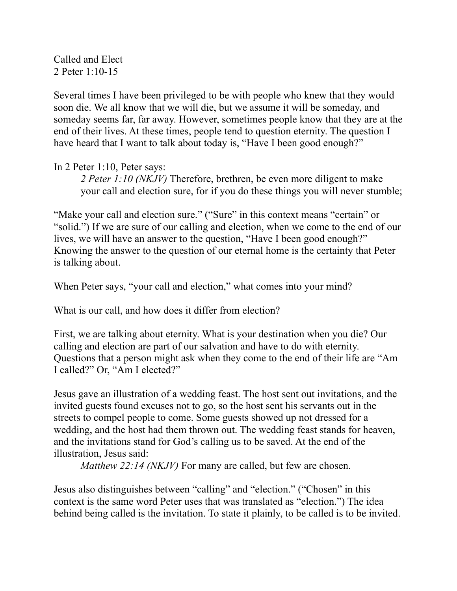Called and Elect 2 Peter 1:10-15

Several times I have been privileged to be with people who knew that they would soon die. We all know that we will die, but we assume it will be someday, and someday seems far, far away. However, sometimes people know that they are at the end of their lives. At these times, people tend to question eternity. The question I have heard that I want to talk about today is, "Have I been good enough?"

## In 2 Peter 1:10, Peter says:

*2 Peter 1:10 (NKJV)* Therefore, brethren, be even more diligent to make your call and election sure, for if you do these things you will never stumble;

"Make your call and election sure." ("Sure" in this context means "certain" or "solid.") If we are sure of our calling and election, when we come to the end of our lives, we will have an answer to the question, "Have I been good enough?" Knowing the answer to the question of our eternal home is the certainty that Peter is talking about.

When Peter says, "your call and election," what comes into your mind?

What is our call, and how does it differ from election?

First, we are talking about eternity. What is your destination when you die? Our calling and election are part of our salvation and have to do with eternity. Questions that a person might ask when they come to the end of their life are "Am I called?" Or, "Am I elected?"

Jesus gave an illustration of a wedding feast. The host sent out invitations, and the invited guests found excuses not to go, so the host sent his servants out in the streets to compel people to come. Some guests showed up not dressed for a wedding, and the host had them thrown out. The wedding feast stands for heaven, and the invitations stand for God's calling us to be saved. At the end of the illustration, Jesus said:

*Matthew 22:14 (NKJV)* For many are called, but few are chosen.

Jesus also distinguishes between "calling" and "election." ("Chosen" in this context is the same word Peter uses that was translated as "election.") The idea behind being called is the invitation. To state it plainly, to be called is to be invited.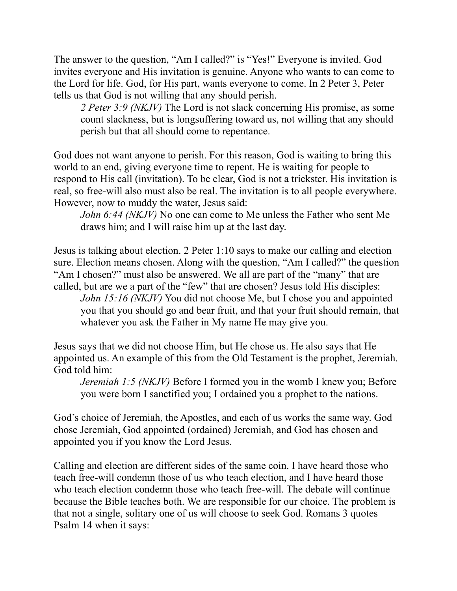The answer to the question, "Am I called?" is "Yes!" Everyone is invited. God invites everyone and His invitation is genuine. Anyone who wants to can come to the Lord for life. God, for His part, wants everyone to come. In 2 Peter 3, Peter tells us that God is not willing that any should perish.

*2 Peter 3:9 (NKJV)* The Lord is not slack concerning His promise, as some count slackness, but is longsuffering toward us, not willing that any should perish but that all should come to repentance.

God does not want anyone to perish. For this reason, God is waiting to bring this world to an end, giving everyone time to repent. He is waiting for people to respond to His call (invitation). To be clear, God is not a trickster. His invitation is real, so free-will also must also be real. The invitation is to all people everywhere. However, now to muddy the water, Jesus said:

*John 6:44 (NKJV)* No one can come to Me unless the Father who sent Me draws him; and I will raise him up at the last day.

Jesus is talking about election. 2 Peter 1:10 says to make our calling and election sure. Election means chosen. Along with the question, "Am I called?" the question "Am I chosen?" must also be answered. We all are part of the "many" that are called, but are we a part of the "few" that are chosen? Jesus told His disciples: *John 15:16 (NKJV)* You did not choose Me, but I chose you and appointed you that you should go and bear fruit, and that your fruit should remain, that whatever you ask the Father in My name He may give you.

Jesus says that we did not choose Him, but He chose us. He also says that He appointed us. An example of this from the Old Testament is the prophet, Jeremiah. God told him:

*Jeremiah 1:5 (NKJV)* Before I formed you in the womb I knew you; Before you were born I sanctified you; I ordained you a prophet to the nations.

God's choice of Jeremiah, the Apostles, and each of us works the same way. God chose Jeremiah, God appointed (ordained) Jeremiah, and God has chosen and appointed you if you know the Lord Jesus.

Calling and election are different sides of the same coin. I have heard those who teach free-will condemn those of us who teach election, and I have heard those who teach election condemn those who teach free-will. The debate will continue because the Bible teaches both. We are responsible for our choice. The problem is that not a single, solitary one of us will choose to seek God. Romans 3 quotes Psalm 14 when it says: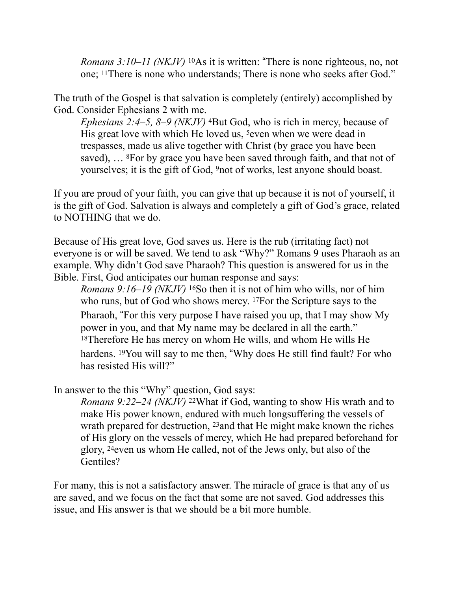*Romans 3:10–11 (NKJV)* <sup>10</sup>As it is written: "There is none righteous, no, not one; 11There is none who understands; There is none who seeks after God."

The truth of the Gospel is that salvation is completely (entirely) accomplished by God. Consider Ephesians 2 with me.

*Ephesians 2:4–5, 8–9 (NKJV)* 4But God, who is rich in mercy, because of His great love with which He loved us, <sup>5</sup>even when we were dead in trespasses, made us alive together with Christ (by grace you have been saved), … 8For by grace you have been saved through faith, and that not of yourselves; it is the gift of God, 9not of works, lest anyone should boast.

If you are proud of your faith, you can give that up because it is not of yourself, it is the gift of God. Salvation is always and completely a gift of God's grace, related to NOTHING that we do.

Because of His great love, God saves us. Here is the rub (irritating fact) not everyone is or will be saved. We tend to ask "Why?" Romans 9 uses Pharaoh as an example. Why didn't God save Pharaoh? This question is answered for us in the Bible. First, God anticipates our human response and says:

*Romans 9:16–19 (NKJV)* 16So then it is not of him who wills, nor of him who runs, but of God who shows mercy. 17For the Scripture says to the Pharaoh, "For this very purpose I have raised you up, that I may show My power in you, and that My name may be declared in all the earth." 18Therefore He has mercy on whom He wills, and whom He wills He hardens. <sup>19</sup>You will say to me then, "Why does He still find fault? For who has resisted His will?"

In answer to the this "Why" question, God says:

*Romans 9:22–24 (NKJV)* 22What if God, wanting to show His wrath and to make His power known, endured with much longsuffering the vessels of wrath prepared for destruction, 23and that He might make known the riches of His glory on the vessels of mercy, which He had prepared beforehand for glory, 24even us whom He called, not of the Jews only, but also of the Gentiles?

For many, this is not a satisfactory answer. The miracle of grace is that any of us are saved, and we focus on the fact that some are not saved. God addresses this issue, and His answer is that we should be a bit more humble.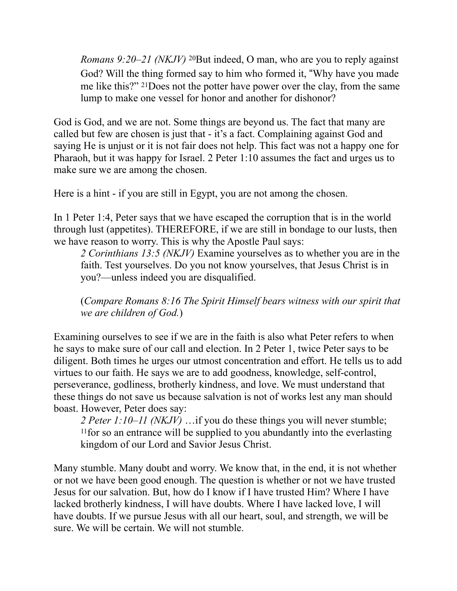*Romans 9:20–21 (NKJV)* 20But indeed, O man, who are you to reply against God? Will the thing formed say to him who formed it, "Why have you made me like this?" 21Does not the potter have power over the clay, from the same lump to make one vessel for honor and another for dishonor?

God is God, and we are not. Some things are beyond us. The fact that many are called but few are chosen is just that - it's a fact. Complaining against God and saying He is unjust or it is not fair does not help. This fact was not a happy one for Pharaoh, but it was happy for Israel. 2 Peter 1:10 assumes the fact and urges us to make sure we are among the chosen.

Here is a hint - if you are still in Egypt, you are not among the chosen.

In 1 Peter 1:4, Peter says that we have escaped the corruption that is in the world through lust (appetites). THEREFORE, if we are still in bondage to our lusts, then we have reason to worry. This is why the Apostle Paul says:

*2 Corinthians 13:5 (NKJV)* Examine yourselves as to whether you are in the faith. Test yourselves. Do you not know yourselves, that Jesus Christ is in you?—unless indeed you are disqualified.

(*Compare Romans 8:16 The Spirit Himself bears witness with our spirit that we are children of God.*)

Examining ourselves to see if we are in the faith is also what Peter refers to when he says to make sure of our call and election. In 2 Peter 1, twice Peter says to be diligent. Both times he urges our utmost concentration and effort. He tells us to add virtues to our faith. He says we are to add goodness, knowledge, self-control, perseverance, godliness, brotherly kindness, and love. We must understand that these things do not save us because salvation is not of works lest any man should boast. However, Peter does say:

*2 Peter 1:10–11 (NKJV)* …if you do these things you will never stumble; 11for so an entrance will be supplied to you abundantly into the everlasting kingdom of our Lord and Savior Jesus Christ.

Many stumble. Many doubt and worry. We know that, in the end, it is not whether or not we have been good enough. The question is whether or not we have trusted Jesus for our salvation. But, how do I know if I have trusted Him? Where I have lacked brotherly kindness, I will have doubts. Where I have lacked love, I will have doubts. If we pursue Jesus with all our heart, soul, and strength, we will be sure. We will be certain. We will not stumble.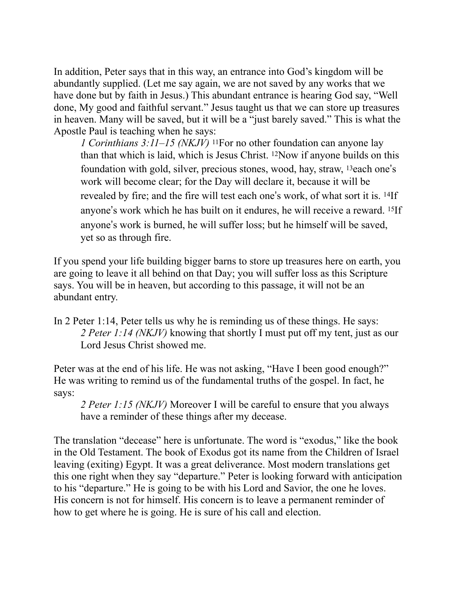In addition, Peter says that in this way, an entrance into God's kingdom will be abundantly supplied. (Let me say again, we are not saved by any works that we have done but by faith in Jesus.) This abundant entrance is hearing God say, "Well done, My good and faithful servant." Jesus taught us that we can store up treasures in heaven. Many will be saved, but it will be a "just barely saved." This is what the Apostle Paul is teaching when he says:

*1 Corinthians 3:11–15 (NKJV)* 11For no other foundation can anyone lay than that which is laid, which is Jesus Christ. 12Now if anyone builds on this foundation with gold, silver, precious stones, wood, hay, straw, 13each one"s work will become clear; for the Day will declare it, because it will be revealed by fire; and the fire will test each one"s work, of what sort it is. 14If anyone"s work which he has built on it endures, he will receive a reward. 15If anyone"s work is burned, he will suffer loss; but he himself will be saved, yet so as through fire.

If you spend your life building bigger barns to store up treasures here on earth, you are going to leave it all behind on that Day; you will suffer loss as this Scripture says. You will be in heaven, but according to this passage, it will not be an abundant entry.

In 2 Peter 1:14, Peter tells us why he is reminding us of these things. He says: *2 Peter 1:14 (NKJV)* knowing that shortly I must put off my tent, just as our Lord Jesus Christ showed me.

Peter was at the end of his life. He was not asking, "Have I been good enough?" He was writing to remind us of the fundamental truths of the gospel. In fact, he says:

*2 Peter 1:15 (NKJV)* Moreover I will be careful to ensure that you always have a reminder of these things after my decease.

The translation "decease" here is unfortunate. The word is "exodus," like the book in the Old Testament. The book of Exodus got its name from the Children of Israel leaving (exiting) Egypt. It was a great deliverance. Most modern translations get this one right when they say "departure." Peter is looking forward with anticipation to his "departure." He is going to be with his Lord and Savior, the one he loves. His concern is not for himself. His concern is to leave a permanent reminder of how to get where he is going. He is sure of his call and election.